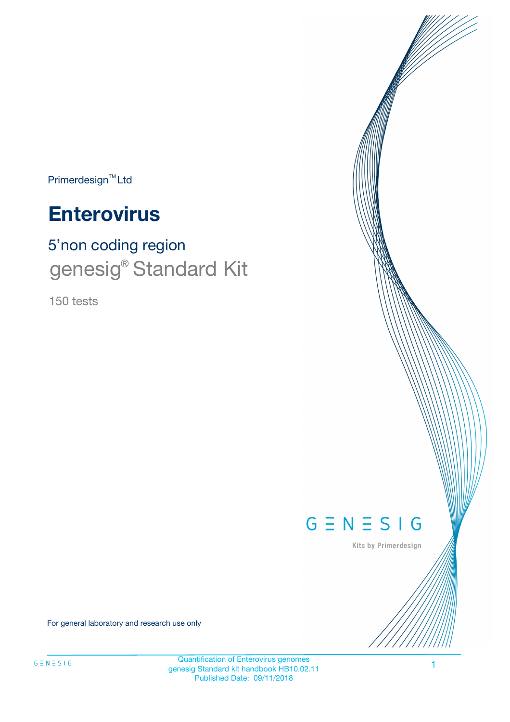Primerdesign<sup>™</sup>Ltd

# **Enterovirus**

# 5'non coding region genesig® Standard Kit

150 tests



Kits by Primerdesign

For general laboratory and research use only

Quantification of Enterovirus genomes genesig Standard kit handbook HB10.02.11 Published Date: 09/11/2018

1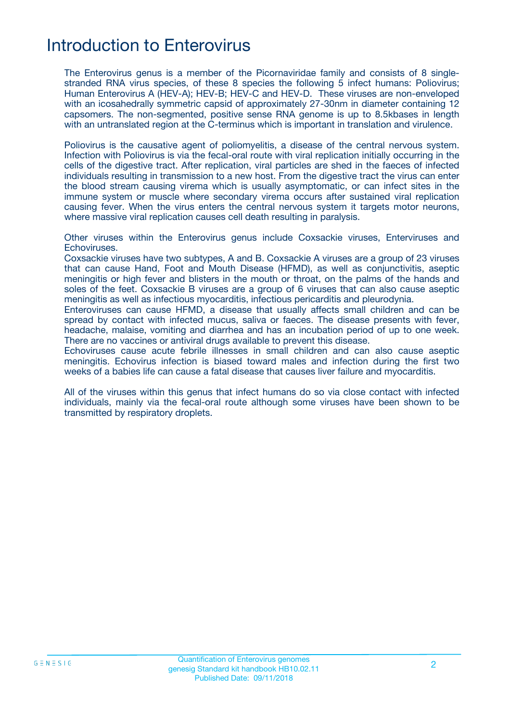### Introduction to Enterovirus

The Enterovirus genus is a member of the Picornaviridae family and consists of 8 singlestranded RNA virus species, of these 8 species the following 5 infect humans: Poliovirus; Human Enterovirus A (HEV-A); HEV-B; HEV-C and HEV-D. These viruses are non-enveloped with an icosahedrally symmetric capsid of approximately 27-30nm in diameter containing 12 capsomers. The non-segmented, positive sense RNA genome is up to 8.5kbases in length with an untranslated region at the C-terminus which is important in translation and virulence.

Poliovirus is the causative agent of poliomyelitis, a disease of the central nervous system. Infection with Poliovirus is via the fecal-oral route with viral replication initially occurring in the cells of the digestive tract. After replication, viral particles are shed in the faeces of infected individuals resulting in transmission to a new host. From the digestive tract the virus can enter the blood stream causing virema which is usually asymptomatic, or can infect sites in the immune system or muscle where secondary virema occurs after sustained viral replication causing fever. When the virus enters the central nervous system it targets motor neurons, where massive viral replication causes cell death resulting in paralysis.

Other viruses within the Enterovirus genus include Coxsackie viruses, Enterviruses and Echoviruses.

Coxsackie viruses have two subtypes, A and B. Coxsackie A viruses are a group of 23 viruses that can cause Hand, Foot and Mouth Disease (HFMD), as well as conjunctivitis, aseptic meningitis or high fever and blisters in the mouth or throat, on the palms of the hands and soles of the feet. Coxsackie B viruses are a group of 6 viruses that can also cause aseptic meningitis as well as infectious myocarditis, infectious pericarditis and pleurodynia.

Enteroviruses can cause HFMD, a disease that usually affects small children and can be spread by contact with infected mucus, saliva or faeces. The disease presents with fever, headache, malaise, vomiting and diarrhea and has an incubation period of up to one week. There are no vaccines or antiviral drugs available to prevent this disease.

Echoviruses cause acute febrile illnesses in small children and can also cause aseptic meningitis. Echovirus infection is biased toward males and infection during the first two weeks of a babies life can cause a fatal disease that causes liver failure and myocarditis.

All of the viruses within this genus that infect humans do so via close contact with infected individuals, mainly via the fecal-oral route although some viruses have been shown to be transmitted by respiratory droplets.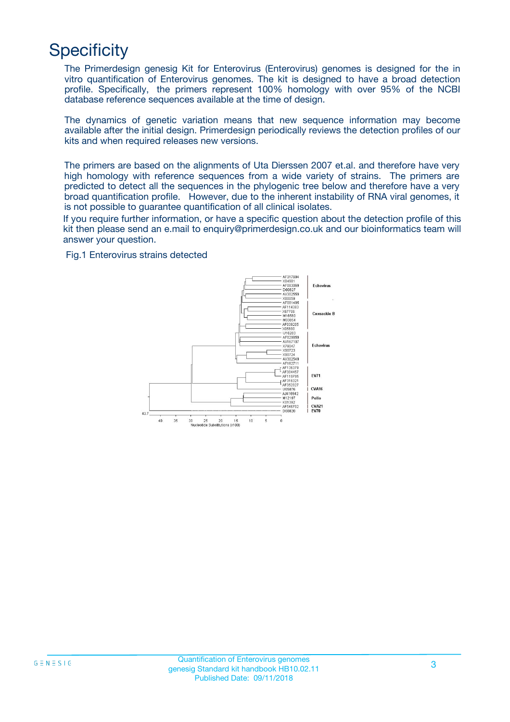# **Specificity**

The Primerdesign genesig Kit for Enterovirus (Enterovirus) genomes is designed for the in vitro quantification of Enterovirus genomes. The kit is designed to have a broad detection profile. Specifically, the primers represent 100% homology with over 95% of the NCBI database reference sequences available at the time of design.

The dynamics of genetic variation means that new sequence information may become available after the initial design. Primerdesign periodically reviews the detection profiles of our kits and when required releases new versions.

The primers are based on the alignments of Uta Dierssen 2007 et.al. and therefore have very high homology with reference sequences from a wide variety of strains. The primers are predicted to detect all the sequences in the phylogenic tree below and therefore have a very broad quantification profile. However, due to the inherent instability of RNA viral genomes, it is not possible to guarantee quantification of all clinical isolates.

If you require further information, or have a specific question about the detection profile of this kit then please send an e.mail to enquiry@primerdesign.co.uk and our bioinformatics team will answer your question.

#### Fig.1 Enterovirus strains detected

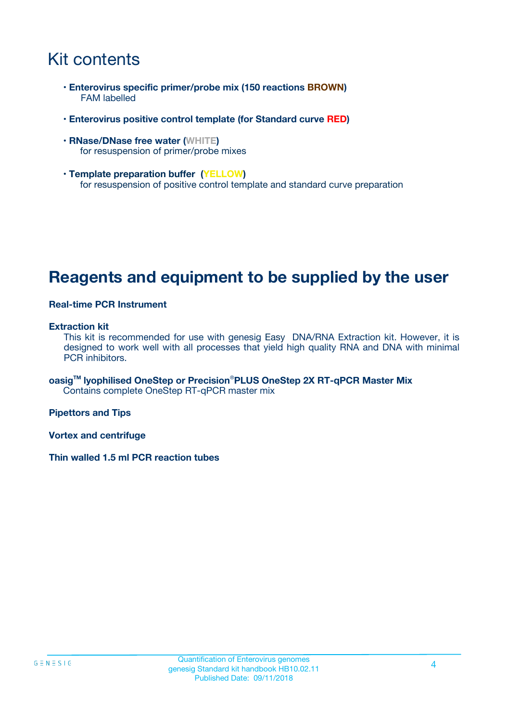## Kit contents

- **Enterovirus specific primer/probe mix (150 reactions BROWN)** FAM labelled
- **Enterovirus positive control template (for Standard curve RED)**
- **RNase/DNase free water (WHITE)** for resuspension of primer/probe mixes
- **Template preparation buffer (YELLOW)** for resuspension of positive control template and standard curve preparation

### **Reagents and equipment to be supplied by the user**

#### **Real-time PCR Instrument**

#### **Extraction kit**

This kit is recommended for use with genesig Easy DNA/RNA Extraction kit. However, it is designed to work well with all processes that yield high quality RNA and DNA with minimal PCR inhibitors.

**oasigTM lyophilised OneStep or Precision**®**PLUS OneStep 2X RT-qPCR Master Mix** Contains complete OneStep RT-qPCR master mix

**Pipettors and Tips**

**Vortex and centrifuge**

**Thin walled 1.5 ml PCR reaction tubes**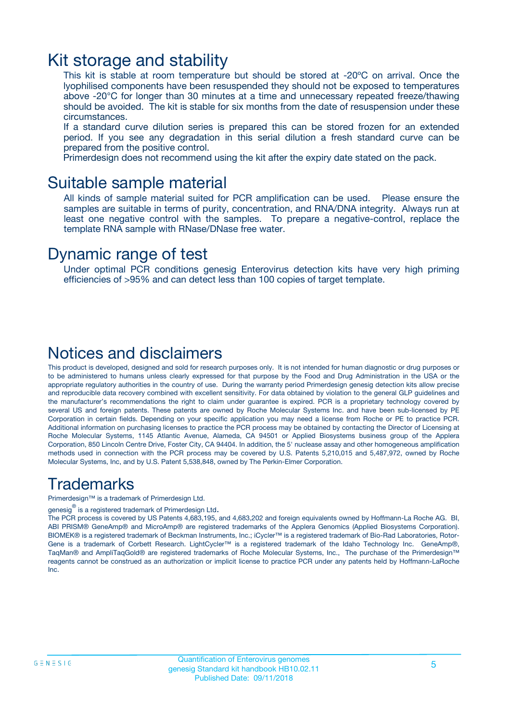### Kit storage and stability

This kit is stable at room temperature but should be stored at -20ºC on arrival. Once the lyophilised components have been resuspended they should not be exposed to temperatures above -20°C for longer than 30 minutes at a time and unnecessary repeated freeze/thawing should be avoided. The kit is stable for six months from the date of resuspension under these circumstances.

If a standard curve dilution series is prepared this can be stored frozen for an extended period. If you see any degradation in this serial dilution a fresh standard curve can be prepared from the positive control.

Primerdesign does not recommend using the kit after the expiry date stated on the pack.

### Suitable sample material

All kinds of sample material suited for PCR amplification can be used. Please ensure the samples are suitable in terms of purity, concentration, and RNA/DNA integrity. Always run at least one negative control with the samples. To prepare a negative-control, replace the template RNA sample with RNase/DNase free water.

### Dynamic range of test

Under optimal PCR conditions genesig Enterovirus detection kits have very high priming efficiencies of >95% and can detect less than 100 copies of target template.

### Notices and disclaimers

This product is developed, designed and sold for research purposes only. It is not intended for human diagnostic or drug purposes or to be administered to humans unless clearly expressed for that purpose by the Food and Drug Administration in the USA or the appropriate regulatory authorities in the country of use. During the warranty period Primerdesign genesig detection kits allow precise and reproducible data recovery combined with excellent sensitivity. For data obtained by violation to the general GLP guidelines and the manufacturer's recommendations the right to claim under guarantee is expired. PCR is a proprietary technology covered by several US and foreign patents. These patents are owned by Roche Molecular Systems Inc. and have been sub-licensed by PE Corporation in certain fields. Depending on your specific application you may need a license from Roche or PE to practice PCR. Additional information on purchasing licenses to practice the PCR process may be obtained by contacting the Director of Licensing at Roche Molecular Systems, 1145 Atlantic Avenue, Alameda, CA 94501 or Applied Biosystems business group of the Applera Corporation, 850 Lincoln Centre Drive, Foster City, CA 94404. In addition, the 5' nuclease assay and other homogeneous amplification methods used in connection with the PCR process may be covered by U.S. Patents 5,210,015 and 5,487,972, owned by Roche Molecular Systems, Inc, and by U.S. Patent 5,538,848, owned by The Perkin-Elmer Corporation.

### Trademarks

Primerdesign™ is a trademark of Primerdesign Ltd.

genesig $^\circledR$  is a registered trademark of Primerdesign Ltd.

The PCR process is covered by US Patents 4,683,195, and 4,683,202 and foreign equivalents owned by Hoffmann-La Roche AG. BI, ABI PRISM® GeneAmp® and MicroAmp® are registered trademarks of the Applera Genomics (Applied Biosystems Corporation). BIOMEK® is a registered trademark of Beckman Instruments, Inc.; iCycler™ is a registered trademark of Bio-Rad Laboratories, Rotor-Gene is a trademark of Corbett Research. LightCycler™ is a registered trademark of the Idaho Technology Inc. GeneAmp®, TaqMan® and AmpliTaqGold® are registered trademarks of Roche Molecular Systems, Inc., The purchase of the Primerdesign™ reagents cannot be construed as an authorization or implicit license to practice PCR under any patents held by Hoffmann-LaRoche Inc.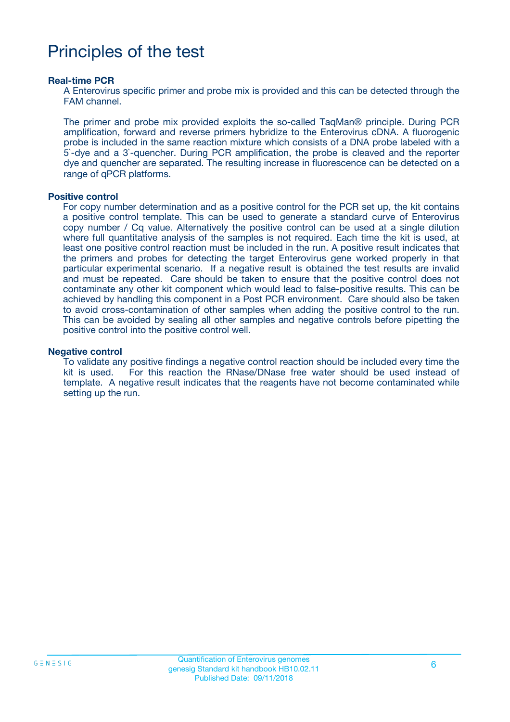## Principles of the test

#### **Real-time PCR**

A Enterovirus specific primer and probe mix is provided and this can be detected through the FAM channel.

The primer and probe mix provided exploits the so-called TaqMan® principle. During PCR amplification, forward and reverse primers hybridize to the Enterovirus cDNA. A fluorogenic probe is included in the same reaction mixture which consists of a DNA probe labeled with a 5`-dye and a 3`-quencher. During PCR amplification, the probe is cleaved and the reporter dye and quencher are separated. The resulting increase in fluorescence can be detected on a range of qPCR platforms.

#### **Positive control**

For copy number determination and as a positive control for the PCR set up, the kit contains a positive control template. This can be used to generate a standard curve of Enterovirus copy number / Cq value. Alternatively the positive control can be used at a single dilution where full quantitative analysis of the samples is not required. Each time the kit is used, at least one positive control reaction must be included in the run. A positive result indicates that the primers and probes for detecting the target Enterovirus gene worked properly in that particular experimental scenario. If a negative result is obtained the test results are invalid and must be repeated. Care should be taken to ensure that the positive control does not contaminate any other kit component which would lead to false-positive results. This can be achieved by handling this component in a Post PCR environment. Care should also be taken to avoid cross-contamination of other samples when adding the positive control to the run. This can be avoided by sealing all other samples and negative controls before pipetting the positive control into the positive control well.

#### **Negative control**

To validate any positive findings a negative control reaction should be included every time the kit is used. For this reaction the RNase/DNase free water should be used instead of template. A negative result indicates that the reagents have not become contaminated while setting up the run.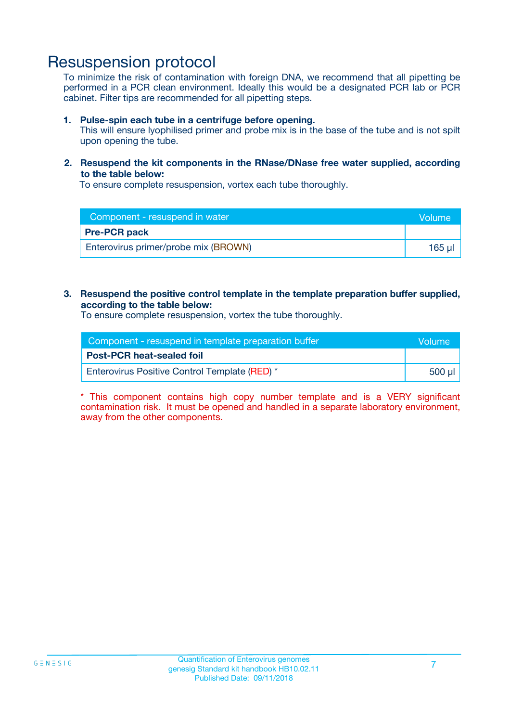### Resuspension protocol

To minimize the risk of contamination with foreign DNA, we recommend that all pipetting be performed in a PCR clean environment. Ideally this would be a designated PCR lab or PCR cabinet. Filter tips are recommended for all pipetting steps.

#### **1. Pulse-spin each tube in a centrifuge before opening.**

This will ensure lyophilised primer and probe mix is in the base of the tube and is not spilt upon opening the tube.

#### **2. Resuspend the kit components in the RNase/DNase free water supplied, according to the table below:**

To ensure complete resuspension, vortex each tube thoroughly.

| Component - resuspend in water       | <b>Volume</b> |
|--------------------------------------|---------------|
| <b>Pre-PCR pack</b>                  |               |
| Enterovirus primer/probe mix (BROWN) | 165 ul        |

### **3. Resuspend the positive control template in the template preparation buffer supplied, according to the table below:**

To ensure complete resuspension, vortex the tube thoroughly.

| Component - resuspend in template preparation buffer |                  |  |
|------------------------------------------------------|------------------|--|
| <b>Post-PCR heat-sealed foil</b>                     |                  |  |
| Enterovirus Positive Control Template (RED) *        | ี 500 น <b>ไ</b> |  |

\* This component contains high copy number template and is a VERY significant contamination risk. It must be opened and handled in a separate laboratory environment, away from the other components.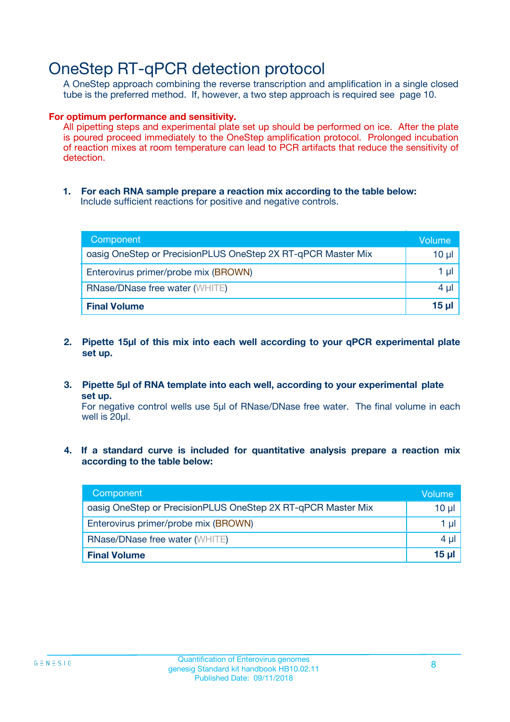### OneStep RT-qPCR detection protocol

A OneStep approach combining the reverse transcription and amplification in a single closed tube is the preferred method. If, however, a two step approach is required see page 10.

#### **For optimum performance and sensitivity.**

All pipetting steps and experimental plate set up should be performed on ice. After the plate is poured proceed immediately to the OneStep amplification protocol. Prolonged incubation of reaction mixes at room temperature can lead to PCR artifacts that reduce the sensitivity of detection.

**1. For each RNA sample prepare a reaction mix according to the table below:** Include sufficient reactions for positive and negative controls.

| Component                                                    | Volumer      |
|--------------------------------------------------------------|--------------|
| oasig OneStep or PrecisionPLUS OneStep 2X RT-qPCR Master Mix | 10 µl        |
| Enterovirus primer/probe mix (BROWN)                         | 1 µI         |
| <b>RNase/DNase free water (WHITE)</b>                        | 4 µl         |
| <b>Final Volume</b>                                          | <u>15 µl</u> |

- **2. Pipette 15µl of this mix into each well according to your qPCR experimental plate set up.**
- **3. Pipette 5µl of RNA template into each well, according to your experimental plate set up.**

For negative control wells use 5µl of RNase/DNase free water. The final volume in each well is 20ul.

**4. If a standard curve is included for quantitative analysis prepare a reaction mix according to the table below:**

| Component                                                    | Volume |
|--------------------------------------------------------------|--------|
| oasig OneStep or PrecisionPLUS OneStep 2X RT-qPCR Master Mix | 10 µl  |
| Enterovirus primer/probe mix (BROWN)                         | 1 µl   |
| <b>RNase/DNase free water (WHITE)</b>                        | 4 µl   |
| <b>Final Volume</b>                                          | 15 µl  |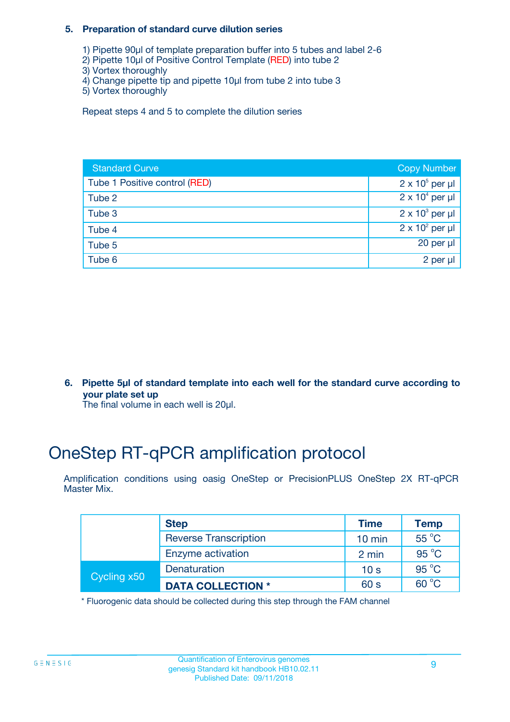### **5. Preparation of standard curve dilution series**

- 1) Pipette 90µl of template preparation buffer into 5 tubes and label 2-6
- 2) Pipette 10µl of Positive Control Template (RED) into tube 2
- 3) Vortex thoroughly
- 4) Change pipette tip and pipette 10µl from tube 2 into tube 3
- 5) Vortex thoroughly

Repeat steps 4 and 5 to complete the dilution series

| <b>Standard Curve</b>         | <b>Copy Number</b>     |
|-------------------------------|------------------------|
| Tube 1 Positive control (RED) | $2 \times 10^5$ per µl |
| Tube 2                        | $2 \times 10^4$ per µl |
| Tube 3                        | $2 \times 10^3$ per µl |
| Tube 4                        | $2 \times 10^2$ per µl |
| Tube 5                        | 20 per $\mu$           |
| Tube 6                        | 2 per µl               |

**6. Pipette 5µl of standard template into each well for the standard curve according to your plate set up**

The final volume in each well is 20ul.

# OneStep RT-qPCR amplification protocol

Amplification conditions using oasig OneStep or PrecisionPLUS OneStep 2X RT-qPCR Master Mix.

|             | <b>Step</b>                  | <b>Time</b>      | <b>Temp</b>    |
|-------------|------------------------------|------------------|----------------|
|             | <b>Reverse Transcription</b> | $10 \text{ min}$ | $55^{\circ}$ C |
|             | Enzyme activation            | 2 min            | $95^{\circ}$ C |
| Cycling x50 | Denaturation                 | 10 <sub>s</sub>  | $95^{\circ}$ C |
|             | <b>DATA COLLECTION *</b>     | 60 s             | $60^{\circ}$ C |

\* Fluorogenic data should be collected during this step through the FAM channel